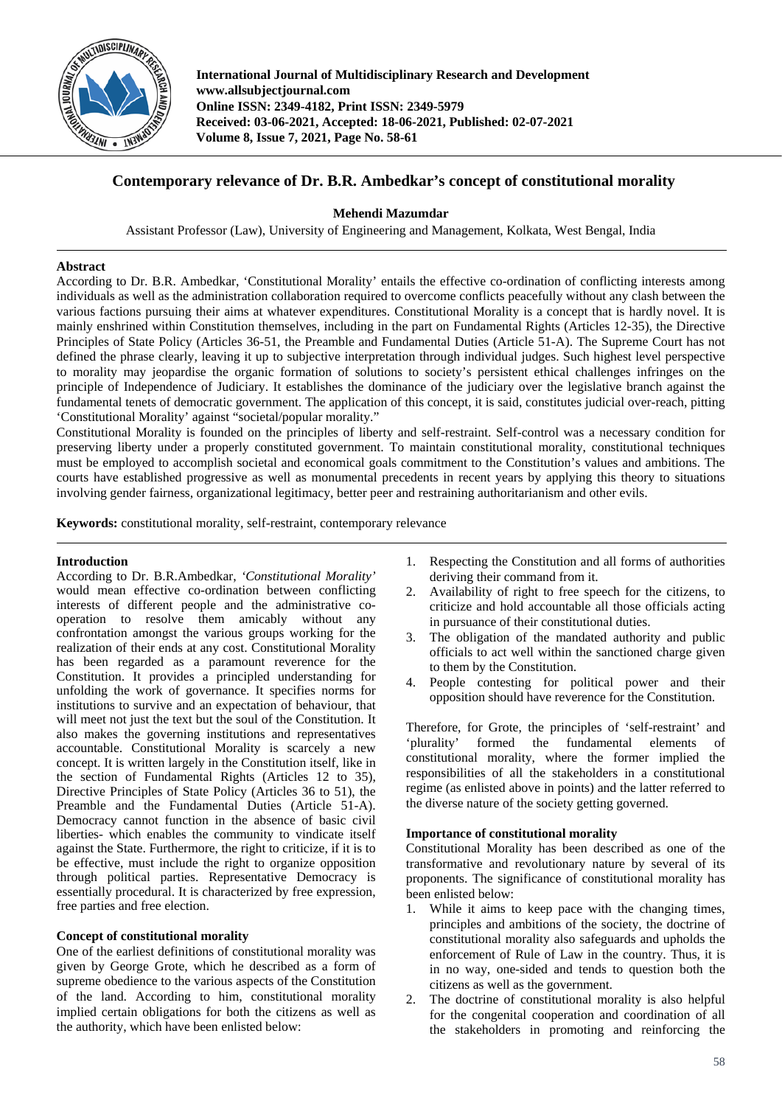

**International Journal of Multidisciplinary Research and Development www.allsubjectjournal.com Online ISSN: 2349-4182, Print ISSN: 2349-5979 Received: 03-06-2021, Accepted: 18-06-2021, Published: 02-07-2021 Volume 8, Issue 7, 2021, Page No. 58-61**

# **Contemporary relevance of Dr. B.R. Ambedkar's concept of constitutional morality**

## **Mehendi Mazumdar**

Assistant Professor (Law), University of Engineering and Management, Kolkata, West Bengal, India

### **Abstract**

According to Dr. B.R. Ambedkar, 'Constitutional Morality' entails the effective co-ordination of conflicting interests among individuals as well as the administration collaboration required to overcome conflicts peacefully without any clash between the various factions pursuing their aims at whatever expenditures. Constitutional Morality is a concept that is hardly novel. It is mainly enshrined within Constitution themselves, including in the part on Fundamental Rights (Articles 12-35), the Directive Principles of State Policy (Articles 36-51, the Preamble and Fundamental Duties (Article 51-A). The Supreme Court has not defined the phrase clearly, leaving it up to subjective interpretation through individual judges. Such highest level perspective to morality may jeopardise the organic formation of solutions to society's persistent ethical challenges infringes on the principle of Independence of Judiciary. It establishes the dominance of the judiciary over the legislative branch against the fundamental tenets of democratic government. The application of this concept, it is said, constitutes judicial over-reach, pitting 'Constitutional Morality' against "societal/popular morality."

Constitutional Morality is founded on the principles of liberty and self-restraint. Self-control was a necessary condition for preserving liberty under a properly constituted government. To maintain constitutional morality, constitutional techniques must be employed to accomplish societal and economical goals commitment to the Constitution's values and ambitions. The courts have established progressive as well as monumental precedents in recent years by applying this theory to situations involving gender fairness, organizational legitimacy, better peer and restraining authoritarianism and other evils.

**Keywords:** constitutional morality, self-restraint, contemporary relevance

### **Introduction**

According to Dr. B.R.Ambedkar, *'Constitutional Morality'* would mean effective co-ordination between conflicting interests of different people and the administrative cooperation to resolve them amicably without any confrontation amongst the various groups working for the realization of their ends at any cost. Constitutional Morality has been regarded as a paramount reverence for the Constitution. It provides a principled understanding for unfolding the work of governance. It specifies norms for institutions to survive and an expectation of behaviour, that will meet not just the text but the soul of the Constitution. It also makes the governing institutions and representatives accountable. Constitutional Morality is scarcely a new concept. It is written largely in the Constitution itself, like in the section of Fundamental Rights (Articles 12 to 35), Directive Principles of State Policy (Articles 36 to 51), the Preamble and the Fundamental Duties (Article 51-A). Democracy cannot function in the absence of basic civil liberties- which enables the community to vindicate itself against the State. Furthermore, the right to criticize, if it is to be effective, must include the right to organize opposition through political parties. Representative Democracy is essentially procedural. It is characterized by free expression, free parties and free election.

### **Concept of constitutional morality**

One of the earliest definitions of constitutional morality was given by George Grote, which he described as a form of supreme obedience to the various aspects of the Constitution of the land. According to him, constitutional morality implied certain obligations for both the citizens as well as the authority, which have been enlisted below:

- 1. Respecting the Constitution and all forms of authorities deriving their command from it.
- 2. Availability of right to free speech for the citizens, to criticize and hold accountable all those officials acting in pursuance of their constitutional duties.
- 3. The obligation of the mandated authority and public officials to act well within the sanctioned charge given to them by the Constitution.
- 4. People contesting for political power and their opposition should have reverence for the Constitution.

Therefore, for Grote, the principles of 'self-restraint' and 'plurality' formed the fundamental elements of constitutional morality, where the former implied the responsibilities of all the stakeholders in a constitutional regime (as enlisted above in points) and the latter referred to the diverse nature of the society getting governed.

### **Importance of constitutional morality**

Constitutional Morality has been described as one of the transformative and revolutionary nature by several of its proponents. The significance of constitutional morality has been enlisted below:

- 1. While it aims to keep pace with the changing times, principles and ambitions of the society, the doctrine of constitutional morality also safeguards and upholds the enforcement of Rule of Law in the country. Thus, it is in no way, one-sided and tends to question both the citizens as well as the government.
- 2. The doctrine of constitutional morality is also helpful for the congenital cooperation and coordination of all the stakeholders in promoting and reinforcing the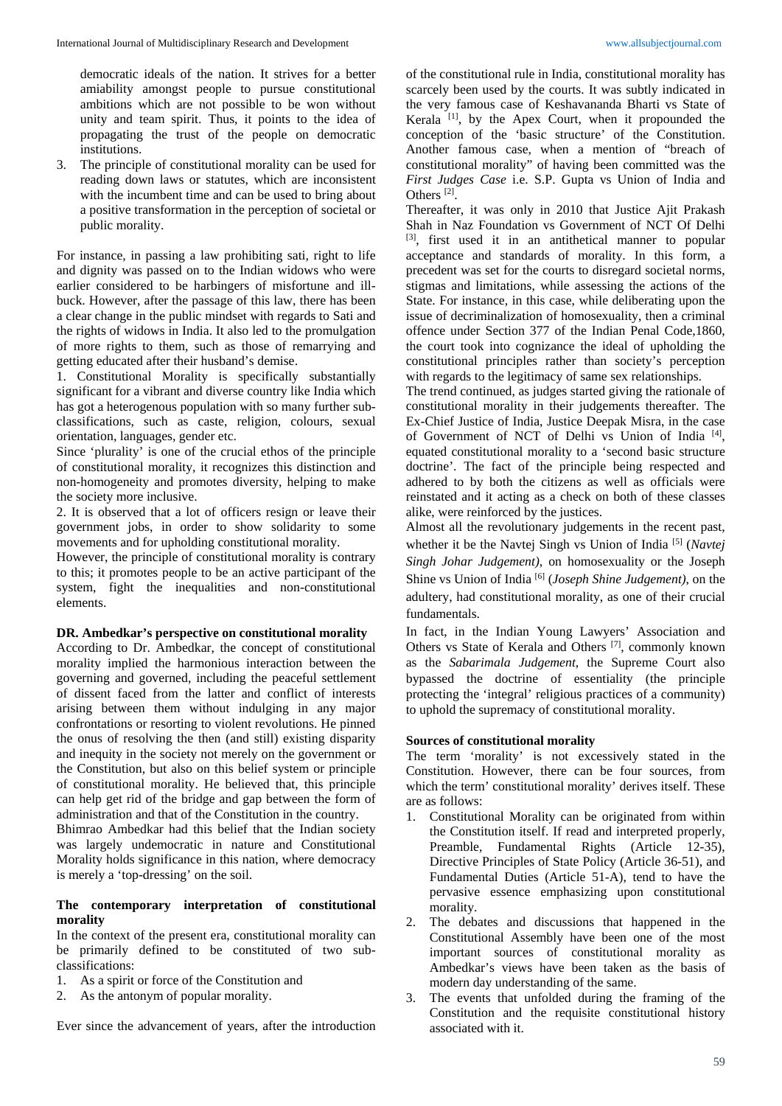democratic ideals of the nation. It strives for a better amiability amongst people to pursue constitutional ambitions which are not possible to be won without unity and team spirit. Thus, it points to the idea of propagating the trust of the people on democratic institutions.

3. The principle of constitutional morality can be used for reading down laws or statutes, which are inconsistent with the incumbent time and can be used to bring about a positive transformation in the perception of societal or public morality.

For instance, in passing a law prohibiting sati, right to life and dignity was passed on to the Indian widows who were earlier considered to be harbingers of misfortune and illbuck. However, after the passage of this law, there has been a clear change in the public mindset with regards to Sati and the rights of widows in India. It also led to the promulgation of more rights to them, such as those of remarrying and getting educated after their husband's demise.

1. Constitutional Morality is specifically substantially significant for a vibrant and diverse country like India which has got a heterogenous population with so many further subclassifications, such as caste, religion, colours, sexual orientation, languages, gender etc.

Since 'plurality' is one of the crucial ethos of the principle of constitutional morality, it recognizes this distinction and non-homogeneity and promotes diversity, helping to make the society more inclusive.

2. It is observed that a lot of officers resign or leave their government jobs, in order to show solidarity to some movements and for upholding constitutional morality.

However, the principle of constitutional morality is contrary to this; it promotes people to be an active participant of the system, fight the inequalities and non-constitutional elements.

### **DR. Ambedkar's perspective on constitutional morality**

According to Dr. Ambedkar, the concept of constitutional morality implied the harmonious interaction between the governing and governed, including the peaceful settlement of dissent faced from the latter and conflict of interests arising between them without indulging in any major confrontations or resorting to violent revolutions. He pinned the onus of resolving the then (and still) existing disparity and inequity in the society not merely on the government or the Constitution, but also on this belief system or principle of constitutional morality. He believed that, this principle can help get rid of the bridge and gap between the form of administration and that of the Constitution in the country.

Bhimrao Ambedkar had this belief that the Indian society was largely undemocratic in nature and Constitutional Morality holds significance in this nation, where democracy is merely a 'top-dressing' on the soil.

### **The contemporary interpretation of constitutional morality**

In the context of the present era, constitutional morality can be primarily defined to be constituted of two subclassifications:

- 1. As a spirit or force of the Constitution and
- 2. As the antonym of popular morality.

Ever since the advancement of years, after the introduction

of the constitutional rule in India, constitutional morality has scarcely been used by the courts. It was subtly indicated in the very famous case of Keshavananda Bharti vs State of Kerala  $[1]$ , by the Apex Court, when it propounded the conception of the 'basic structure' of the Constitution. Another famous case, when a mention of "breach of constitutional morality" of having been committed was the *First Judges Case* i.e. S.P. Gupta vs Union of India and Others<sup>[2]</sup>.

Thereafter, it was only in 2010 that Justice Ajit Prakash Shah in Naz Foundation vs Government of NCT Of Delhi [3], first used it in an antithetical manner to popular acceptance and standards of morality. In this form, a precedent was set for the courts to disregard societal norms, stigmas and limitations, while assessing the actions of the State. For instance, in this case, while deliberating upon the issue of decriminalization of homosexuality, then a criminal offence under Section 377 of the Indian Penal Code,1860, the court took into cognizance the ideal of upholding the constitutional principles rather than society's perception with regards to the legitimacy of same sex relationships.

The trend continued, as judges started giving the rationale of constitutional morality in their judgements thereafter. The Ex-Chief Justice of India, Justice Deepak Misra, in the case of Government of NCT of Delhi vs Union of India<sup>[4]</sup>, equated constitutional morality to a 'second basic structure doctrine'. The fact of the principle being respected and adhered to by both the citizens as well as officials were reinstated and it acting as a check on both of these classes alike, were reinforced by the justices.

Almost all the revolutionary judgements in the recent past, whether it be the Navtej Singh vs Union of India<sup>[5]</sup> (*Navtej Singh Johar Judgement)*, on homosexuality or the Joseph Shine vs Union of India [6] (*Joseph Shine Judgement)*, on the adultery, had constitutional morality, as one of their crucial fundamentals.

In fact, in the Indian Young Lawyers' Association and Others vs State of Kerala and Others<sup>[7]</sup>, commonly known as the *Sabarimala Judgement*, the Supreme Court also bypassed the doctrine of essentiality (the principle protecting the 'integral' religious practices of a community) to uphold the supremacy of constitutional morality.

# **Sources of constitutional morality**

The term 'morality' is not excessively stated in the Constitution. However, there can be four sources, from which the term' constitutional morality' derives itself. These are as follows:

- 1. Constitutional Morality can be originated from within the Constitution itself. If read and interpreted properly, Preamble, Fundamental Rights (Article 12-35), Directive Principles of State Policy (Article 36-51), and Fundamental Duties (Article 51-A), tend to have the pervasive essence emphasizing upon constitutional morality.
- 2. The debates and discussions that happened in the Constitutional Assembly have been one of the most important sources of constitutional morality as Ambedkar's views have been taken as the basis of modern day understanding of the same.
- 3. The events that unfolded during the framing of the Constitution and the requisite constitutional history associated with it.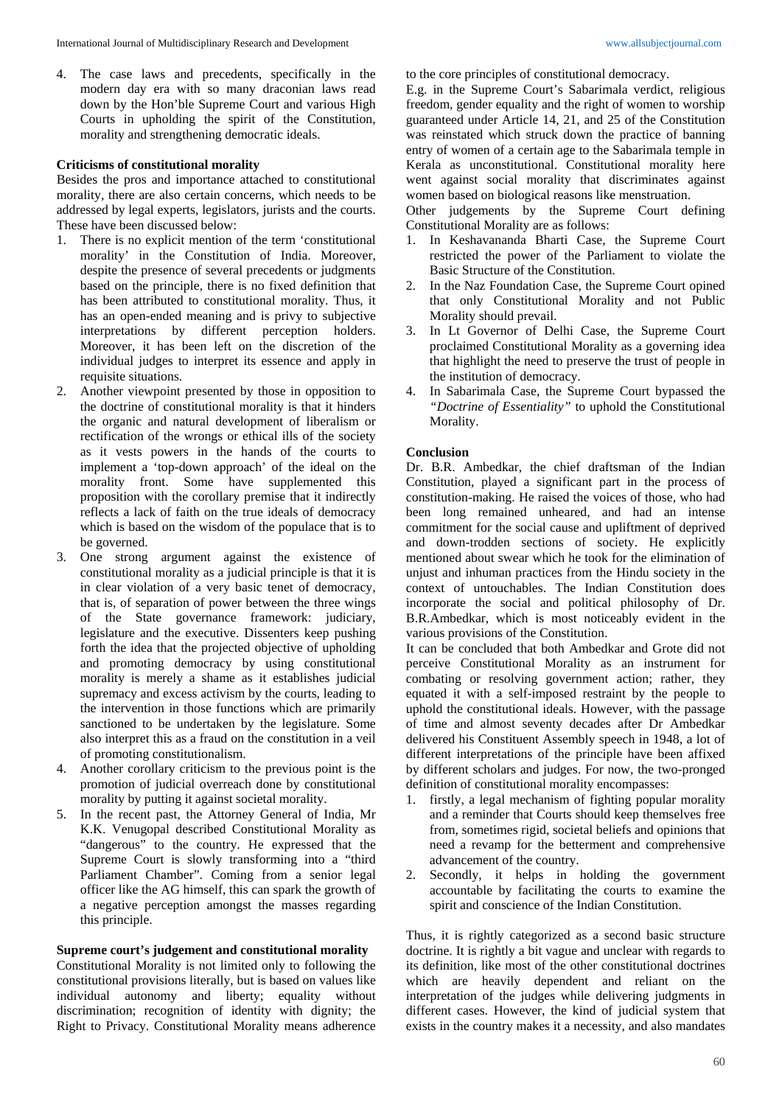4. The case laws and precedents, specifically in the modern day era with so many draconian laws read down by the Hon'ble Supreme Court and various High Courts in upholding the spirit of the Constitution, morality and strengthening democratic ideals.

#### **Criticisms of constitutional morality**

Besides the pros and importance attached to constitutional morality, there are also certain concerns, which needs to be addressed by legal experts, legislators, jurists and the courts. These have been discussed below:

- 1. There is no explicit mention of the term 'constitutional morality' in the Constitution of India. Moreover, despite the presence of several precedents or judgments based on the principle, there is no fixed definition that has been attributed to constitutional morality. Thus, it has an open-ended meaning and is privy to subjective interpretations by different perception holders. Moreover, it has been left on the discretion of the individual judges to interpret its essence and apply in requisite situations.
- 2. Another viewpoint presented by those in opposition to the doctrine of constitutional morality is that it hinders the organic and natural development of liberalism or rectification of the wrongs or ethical ills of the society as it vests powers in the hands of the courts to implement a 'top-down approach' of the ideal on the morality front. Some have supplemented this proposition with the corollary premise that it indirectly reflects a lack of faith on the true ideals of democracy which is based on the wisdom of the populace that is to be governed.
- 3. One strong argument against the existence of constitutional morality as a judicial principle is that it is in clear violation of a very basic tenet of democracy, that is, of separation of power between the three wings of the State governance framework: judiciary, legislature and the executive. Dissenters keep pushing forth the idea that the projected objective of upholding and promoting democracy by using constitutional morality is merely a shame as it establishes judicial supremacy and excess activism by the courts, leading to the intervention in those functions which are primarily sanctioned to be undertaken by the legislature. Some also interpret this as a fraud on the constitution in a veil of promoting constitutionalism.
- 4. Another corollary criticism to the previous point is the promotion of judicial overreach done by constitutional morality by putting it against societal morality.
- 5. In the recent past, the Attorney General of India, Mr K.K. Venugopal described Constitutional Morality as "dangerous" to the country. He expressed that the Supreme Court is slowly transforming into a "third Parliament Chamber". Coming from a senior legal officer like the AG himself, this can spark the growth of a negative perception amongst the masses regarding this principle.

#### **Supreme court's judgement and constitutional morality**

Constitutional Morality is not limited only to following the constitutional provisions literally, but is based on values like individual autonomy and liberty; equality without discrimination; recognition of identity with dignity; the Right to Privacy. Constitutional Morality means adherence to the core principles of constitutional democracy.

E.g. in the Supreme Court's Sabarimala verdict, religious freedom, gender equality and the right of women to worship guaranteed under Article 14, 21, and 25 of the Constitution was reinstated which struck down the practice of banning entry of women of a certain age to the Sabarimala temple in Kerala as unconstitutional. Constitutional morality here went against social morality that discriminates against women based on biological reasons like menstruation.

Other judgements by the Supreme Court defining Constitutional Morality are as follows:

- 1. In Keshavananda Bharti Case, the Supreme Court restricted the power of the Parliament to violate the Basic Structure of the Constitution.
- 2. In the Naz Foundation Case, the Supreme Court opined that only Constitutional Morality and not Public Morality should prevail.
- 3. In Lt Governor of Delhi Case, the Supreme Court proclaimed Constitutional Morality as a governing idea that highlight the need to preserve the trust of people in the institution of democracy.
- 4. In Sabarimala Case, the Supreme Court bypassed the *"Doctrine of Essentiality"* to uphold the Constitutional Morality.

#### **Conclusion**

Dr. B.R. Ambedkar, the chief draftsman of the Indian Constitution, played a significant part in the process of constitution-making. He raised the voices of those, who had been long remained unheared, and had an intense commitment for the social cause and upliftment of deprived and down-trodden sections of society. He explicitly mentioned about swear which he took for the elimination of unjust and inhuman practices from the Hindu society in the context of untouchables. The Indian Constitution does incorporate the social and political philosophy of Dr. B.R.Ambedkar, which is most noticeably evident in the various provisions of the Constitution.

It can be concluded that both Ambedkar and Grote did not perceive Constitutional Morality as an instrument for combating or resolving government action; rather, they equated it with a self-imposed restraint by the people to uphold the constitutional ideals. However, with the passage of time and almost seventy decades after Dr Ambedkar delivered his Constituent Assembly speech in 1948, a lot of different interpretations of the principle have been affixed by different scholars and judges. For now, the two-pronged definition of constitutional morality encompasses:

- 1. firstly, a legal mechanism of fighting popular morality and a reminder that Courts should keep themselves free from, sometimes rigid, societal beliefs and opinions that need a revamp for the betterment and comprehensive advancement of the country.
- 2. Secondly, it helps in holding the government accountable by facilitating the courts to examine the spirit and conscience of the Indian Constitution.

Thus, it is rightly categorized as a second basic structure doctrine. It is rightly a bit vague and unclear with regards to its definition, like most of the other constitutional doctrines which are heavily dependent and reliant on the interpretation of the judges while delivering judgments in different cases. However, the kind of judicial system that exists in the country makes it a necessity, and also mandates